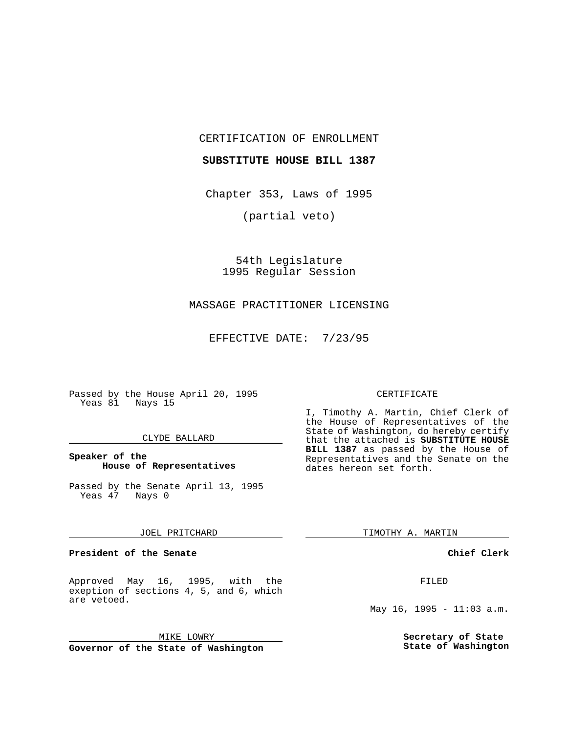CERTIFICATION OF ENROLLMENT

## **SUBSTITUTE HOUSE BILL 1387**

Chapter 353, Laws of 1995

(partial veto)

54th Legislature 1995 Regular Session

# MASSAGE PRACTITIONER LICENSING

EFFECTIVE DATE: 7/23/95

Passed by the House April 20, 1995 Yeas 81 Nays 15

#### CLYDE BALLARD

## **Speaker of the House of Representatives**

Passed by the Senate April 13, 1995<br>Yeas 47 Nays 0 Yeas 47

#### JOEL PRITCHARD

**President of the Senate**

Approved May 16, 1995, with the exeption of sections 4, 5, and 6, which are vetoed.

MIKE LOWRY

**Governor of the State of Washington**

#### CERTIFICATE

I, Timothy A. Martin, Chief Clerk of the House of Representatives of the State of Washington, do hereby certify that the attached is **SUBSTITUTE HOUSE BILL 1387** as passed by the House of Representatives and the Senate on the dates hereon set forth.

TIMOTHY A. MARTIN

## **Chief Clerk**

FILED

May 16, 1995 -  $11:03$  a.m.

**Secretary of State State of Washington**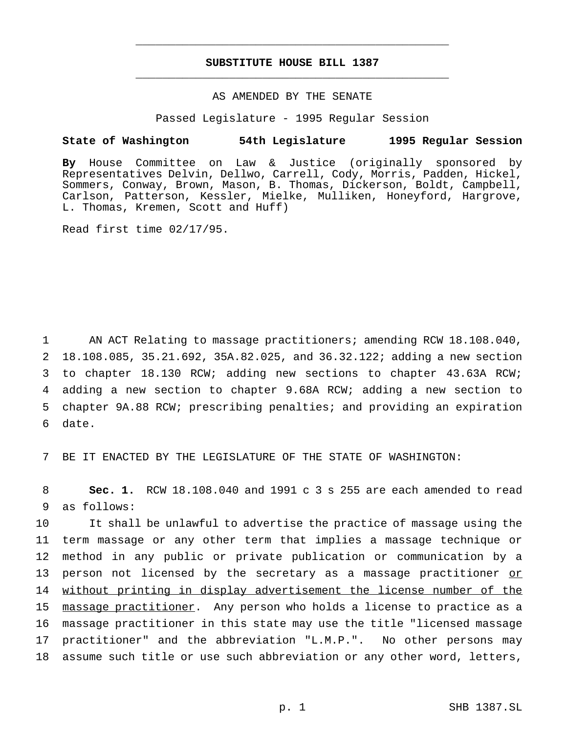# **SUBSTITUTE HOUSE BILL 1387** \_\_\_\_\_\_\_\_\_\_\_\_\_\_\_\_\_\_\_\_\_\_\_\_\_\_\_\_\_\_\_\_\_\_\_\_\_\_\_\_\_\_\_\_\_\_\_

\_\_\_\_\_\_\_\_\_\_\_\_\_\_\_\_\_\_\_\_\_\_\_\_\_\_\_\_\_\_\_\_\_\_\_\_\_\_\_\_\_\_\_\_\_\_\_

# AS AMENDED BY THE SENATE

Passed Legislature - 1995 Regular Session

## **State of Washington 54th Legislature 1995 Regular Session**

**By** House Committee on Law & Justice (originally sponsored by Representatives Delvin, Dellwo, Carrell, Cody, Morris, Padden, Hickel, Sommers, Conway, Brown, Mason, B. Thomas, Dickerson, Boldt, Campbell, Carlson, Patterson, Kessler, Mielke, Mulliken, Honeyford, Hargrove, L. Thomas, Kremen, Scott and Huff)

Read first time 02/17/95.

 AN ACT Relating to massage practitioners; amending RCW 18.108.040, 18.108.085, 35.21.692, 35A.82.025, and 36.32.122; adding a new section to chapter 18.130 RCW; adding new sections to chapter 43.63A RCW; adding a new section to chapter 9.68A RCW; adding a new section to chapter 9A.88 RCW; prescribing penalties; and providing an expiration 6 date.

7 BE IT ENACTED BY THE LEGISLATURE OF THE STATE OF WASHINGTON:

8 **Sec. 1.** RCW 18.108.040 and 1991 c 3 s 255 are each amended to read 9 as follows:

 It shall be unlawful to advertise the practice of massage using the term massage or any other term that implies a massage technique or method in any public or private publication or communication by a 13 person not licensed by the secretary as a massage practitioner or 14 without printing in display advertisement the license number of the massage practitioner. Any person who holds a license to practice as a massage practitioner in this state may use the title "licensed massage practitioner" and the abbreviation "L.M.P.". No other persons may assume such title or use such abbreviation or any other word, letters,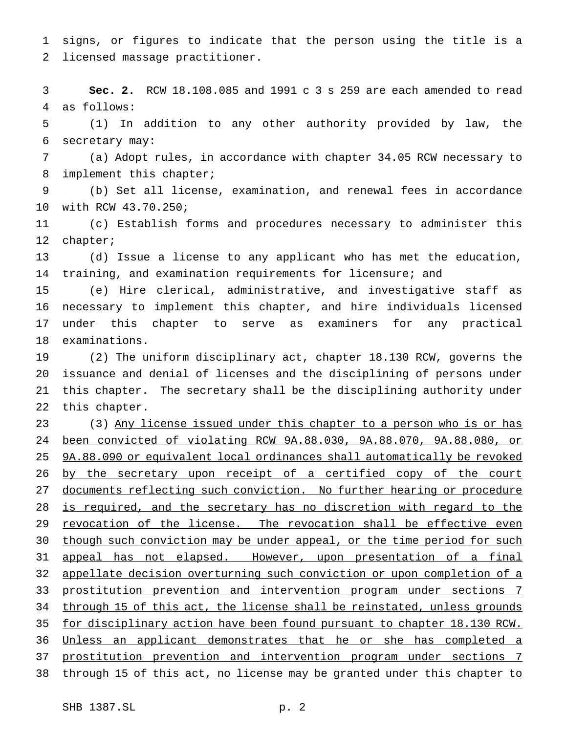signs, or figures to indicate that the person using the title is a licensed massage practitioner.

 **Sec. 2.** RCW 18.108.085 and 1991 c 3 s 259 are each amended to read as follows:

 (1) In addition to any other authority provided by law, the secretary may:

 (a) Adopt rules, in accordance with chapter 34.05 RCW necessary to 8 implement this chapter;

 (b) Set all license, examination, and renewal fees in accordance with RCW 43.70.250;

 (c) Establish forms and procedures necessary to administer this chapter;

 (d) Issue a license to any applicant who has met the education, training, and examination requirements for licensure; and

 (e) Hire clerical, administrative, and investigative staff as necessary to implement this chapter, and hire individuals licensed under this chapter to serve as examiners for any practical examinations.

 (2) The uniform disciplinary act, chapter 18.130 RCW, governs the issuance and denial of licenses and the disciplining of persons under this chapter. The secretary shall be the disciplining authority under this chapter.

23 (3) Any license issued under this chapter to a person who is or has been convicted of violating RCW 9A.88.030, 9A.88.070, 9A.88.080, or 9A.88.090 or equivalent local ordinances shall automatically be revoked 26 by the secretary upon receipt of a certified copy of the court 27 documents reflecting such conviction. No further hearing or procedure 28 is required, and the secretary has no discretion with regard to the 29 revocation of the license. The revocation shall be effective even 30 though such conviction may be under appeal, or the time period for such appeal has not elapsed. However, upon presentation of a final appellate decision overturning such conviction or upon completion of a prostitution prevention and intervention program under sections 7 through 15 of this act, the license shall be reinstated, unless grounds for disciplinary action have been found pursuant to chapter 18.130 RCW. Unless an applicant demonstrates that he or she has completed a prostitution prevention and intervention program under sections 7 through 15 of this act, no license may be granted under this chapter to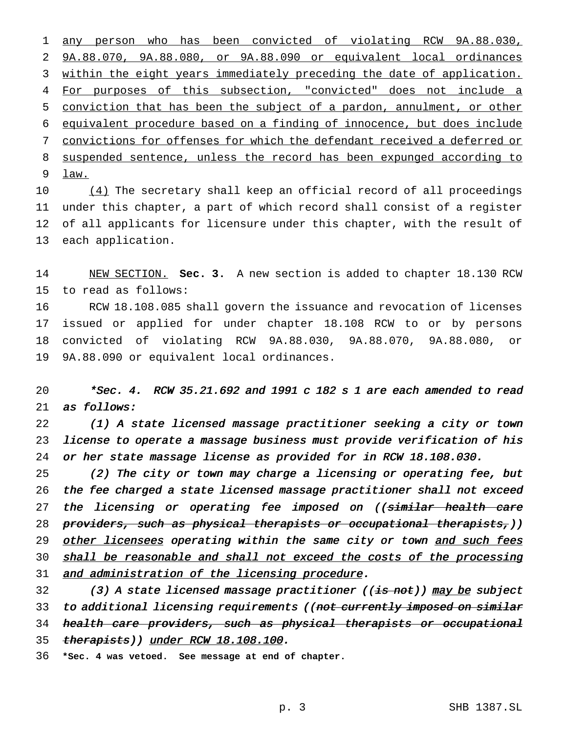any person who has been convicted of violating RCW 9A.88.030, 9A.88.070, 9A.88.080, or 9A.88.090 or equivalent local ordinances 3 within the eight years immediately preceding the date of application. For purposes of this subsection, "convicted" does not include a conviction that has been the subject of a pardon, annulment, or other equivalent procedure based on a finding of innocence, but does include convictions for offenses for which the defendant received a deferred or suspended sentence, unless the record has been expunged according to law.

10 (4) The secretary shall keep an official record of all proceedings under this chapter, a part of which record shall consist of a register of all applicants for licensure under this chapter, with the result of each application.

 NEW SECTION. **Sec. 3.** A new section is added to chapter 18.130 RCW to read as follows:

 RCW 18.108.085 shall govern the issuance and revocation of licenses issued or applied for under chapter 18.108 RCW to or by persons convicted of violating RCW 9A.88.030, 9A.88.070, 9A.88.080, or 9A.88.090 or equivalent local ordinances.

 \*Sec. 4. RCW 35.21.692 and <sup>1991</sup> <sup>c</sup> <sup>182</sup> <sup>s</sup> <sup>1</sup> are each amended to read as follows:

 (1) <sup>A</sup> state licensed massage practitioner seeking <sup>a</sup> city or town license to operate <sup>a</sup> massage business must provide verification of his or her state massage license as provided for in RCW 18.108.030.

 (2) The city or town may charge <sup>a</sup> licensing or operating fee, but the fee charged <sup>a</sup> state licensed massage practitioner shall not exceed 27 the licensing or operating fee imposed on ((<del>similar health care</del> 28 providers, such as physical therapists or occupational therapists,)) 29 other licensees operating within the same city or town and such fees 30 shall be reasonable and shall not exceed the costs of the processing 31 and administration of the licensing procedure.

32 (3) A state licensed massage practitioner ((is not)) may be subject 33 to additional licensing requirements ((not currently imposed on similar 34 health care providers, such as physical therapists or occupational 35 therapists)) under RCW 18.108.100.

**\*Sec. 4 was vetoed. See message at end of chapter.**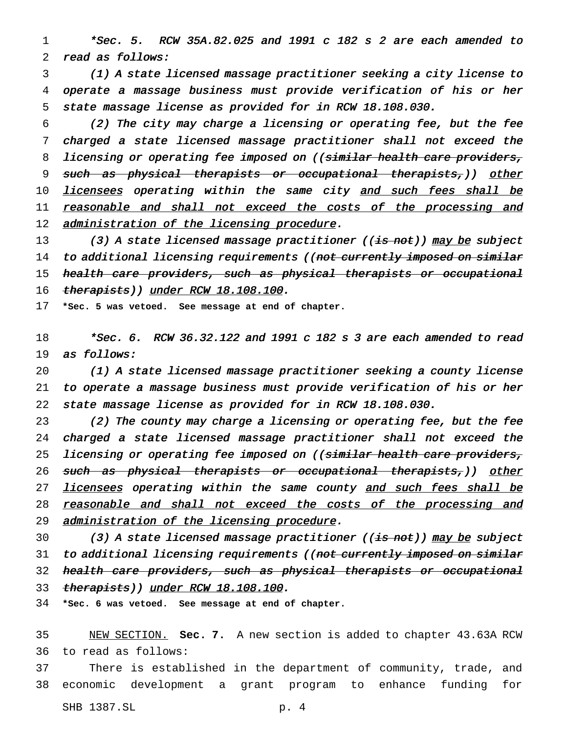1 \*Sec. 5. RCW 35A.82.025 and <sup>1991</sup> <sup>c</sup> <sup>182</sup> <sup>s</sup> <sup>2</sup> are each amended to 2 read as follows:

3 (1) <sup>A</sup> state licensed massage practitioner seeking <sup>a</sup> city license to 4 operate <sup>a</sup> massage business must provide verification of his or her 5 state massage license as provided for in RCW 18.108.030.

6 (2) The city may charge <sup>a</sup> licensing or operating fee, but the fee 7 charged <sup>a</sup> state licensed massage practitioner shall not exceed the 8 licensing or operating fee imposed on ((similar health care providers, 9 such as physical therapists or occupational therapists,)) other 10 licensees operating within the same city and such fees shall be 11 reasonable and shall not exceed the costs of the processing and 12 administration of the licensing procedure.

13 (3) A state licensed massage practitioner (( $\frac{1}{15}$  not)) may be subject 14 to additional licensing requirements ((not currently imposed on similar 15 health care providers, such as physical therapists or occupational 16 therapists)) under RCW 18.108.100.

17 **\*Sec. 5 was vetoed. See message at end of chapter.**

18 \*Sec. 6. RCW 36.32.122 and <sup>1991</sup> <sup>c</sup> <sup>182</sup> <sup>s</sup> <sup>3</sup> are each amended to read 19 as follows:

20 (1) <sup>A</sup> state licensed massage practitioner seeking <sup>a</sup> county license 21 to operate <sup>a</sup> massage business must provide verification of his or her 22 state massage license as provided for in RCW 18.108.030.

23 (2) The county may charge <sup>a</sup> licensing or operating fee, but the fee 24 charged <sup>a</sup> state licensed massage practitioner shall not exceed the 25 licensing or operating fee imposed on ((similar health care providers, 26 such as physical therapists or occupational therapists,)) other 27 licensees operating within the same county and such fees shall be 28 reasonable and shall not exceed the costs of the processing and 29 administration of the licensing procedure.

30 (3) A state licensed massage practitioner (( $\frac{1}{15}$  not)) may be subject 31 to additional licensing requirements ((not currently imposed on similar 32 health care providers, such as physical therapists or occupational 33 therapists)) under RCW 18.108.100.

34 **\*Sec. 6 was vetoed. See message at end of chapter.**

35 NEW SECTION. **Sec. 7.** A new section is added to chapter 43.63A RCW 36 to read as follows:

37 There is established in the department of community, trade, and 38 economic development a grant program to enhance funding for

SHB 1387.SL p. 4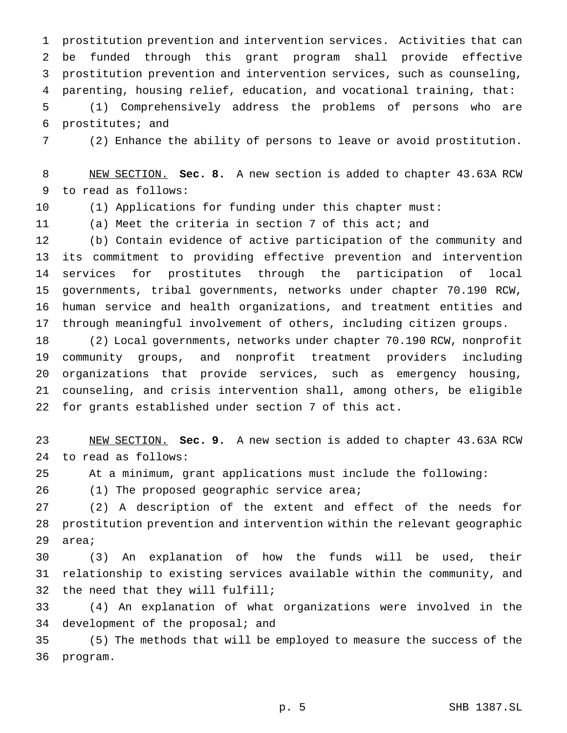prostitution prevention and intervention services. Activities that can be funded through this grant program shall provide effective prostitution prevention and intervention services, such as counseling, parenting, housing relief, education, and vocational training, that:

 (1) Comprehensively address the problems of persons who are prostitutes; and

(2) Enhance the ability of persons to leave or avoid prostitution.

 NEW SECTION. **Sec. 8.** A new section is added to chapter 43.63A RCW to read as follows:

(1) Applications for funding under this chapter must:

(a) Meet the criteria in section 7 of this act; and

 (b) Contain evidence of active participation of the community and its commitment to providing effective prevention and intervention services for prostitutes through the participation of local governments, tribal governments, networks under chapter 70.190 RCW, human service and health organizations, and treatment entities and through meaningful involvement of others, including citizen groups.

 (2) Local governments, networks under chapter 70.190 RCW, nonprofit community groups, and nonprofit treatment providers including organizations that provide services, such as emergency housing, counseling, and crisis intervention shall, among others, be eligible for grants established under section 7 of this act.

 NEW SECTION. **Sec. 9.** A new section is added to chapter 43.63A RCW to read as follows:

At a minimum, grant applications must include the following:

26 (1) The proposed geographic service area;

 (2) A description of the extent and effect of the needs for prostitution prevention and intervention within the relevant geographic area;

 (3) An explanation of how the funds will be used, their relationship to existing services available within the community, and the need that they will fulfill;

 (4) An explanation of what organizations were involved in the 34 development of the proposal; and

 (5) The methods that will be employed to measure the success of the program.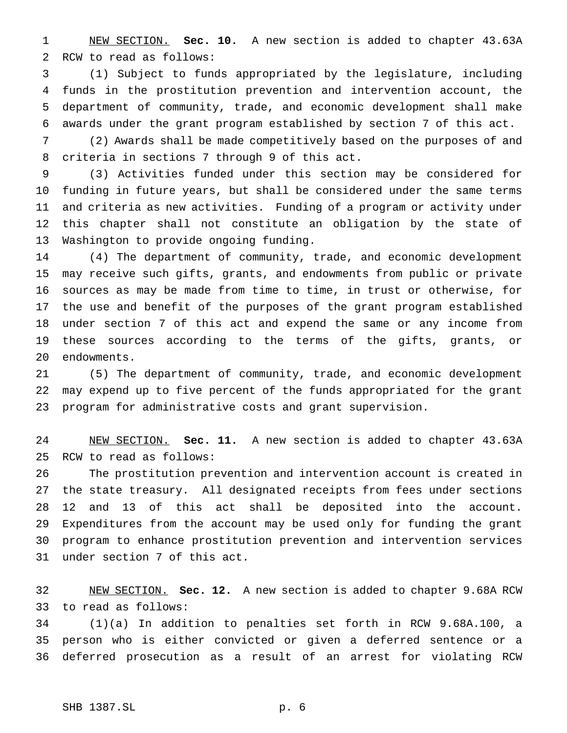NEW SECTION. **Sec. 10.** A new section is added to chapter 43.63A RCW to read as follows:

 (1) Subject to funds appropriated by the legislature, including funds in the prostitution prevention and intervention account, the department of community, trade, and economic development shall make awards under the grant program established by section 7 of this act.

 (2) Awards shall be made competitively based on the purposes of and criteria in sections 7 through 9 of this act.

 (3) Activities funded under this section may be considered for funding in future years, but shall be considered under the same terms and criteria as new activities. Funding of a program or activity under this chapter shall not constitute an obligation by the state of Washington to provide ongoing funding.

 (4) The department of community, trade, and economic development may receive such gifts, grants, and endowments from public or private sources as may be made from time to time, in trust or otherwise, for the use and benefit of the purposes of the grant program established under section 7 of this act and expend the same or any income from these sources according to the terms of the gifts, grants, or endowments.

 (5) The department of community, trade, and economic development may expend up to five percent of the funds appropriated for the grant program for administrative costs and grant supervision.

 NEW SECTION. **Sec. 11.** A new section is added to chapter 43.63A RCW to read as follows:

 The prostitution prevention and intervention account is created in the state treasury. All designated receipts from fees under sections 12 and 13 of this act shall be deposited into the account. Expenditures from the account may be used only for funding the grant program to enhance prostitution prevention and intervention services under section 7 of this act.

 NEW SECTION. **Sec. 12.** A new section is added to chapter 9.68A RCW to read as follows:

 (1)(a) In addition to penalties set forth in RCW 9.68A.100, a person who is either convicted or given a deferred sentence or a deferred prosecution as a result of an arrest for violating RCW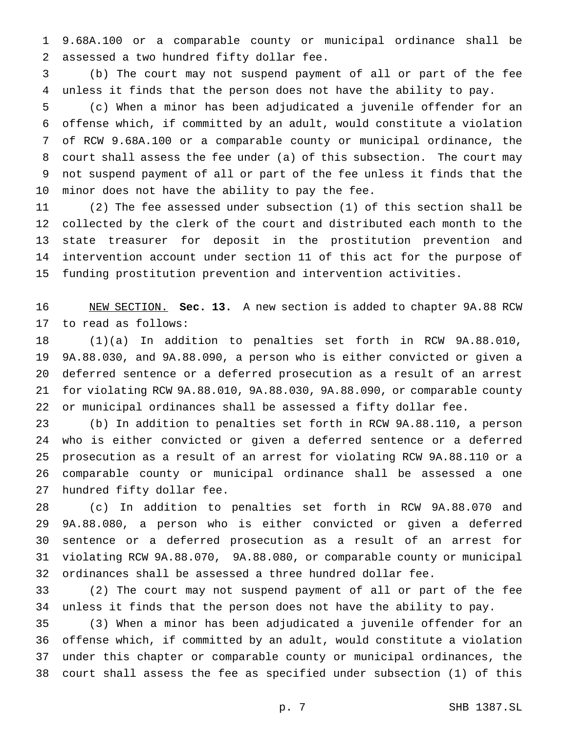9.68A.100 or a comparable county or municipal ordinance shall be assessed a two hundred fifty dollar fee.

 (b) The court may not suspend payment of all or part of the fee unless it finds that the person does not have the ability to pay.

 (c) When a minor has been adjudicated a juvenile offender for an offense which, if committed by an adult, would constitute a violation of RCW 9.68A.100 or a comparable county or municipal ordinance, the court shall assess the fee under (a) of this subsection. The court may not suspend payment of all or part of the fee unless it finds that the minor does not have the ability to pay the fee.

 (2) The fee assessed under subsection (1) of this section shall be collected by the clerk of the court and distributed each month to the state treasurer for deposit in the prostitution prevention and intervention account under section 11 of this act for the purpose of funding prostitution prevention and intervention activities.

 NEW SECTION. **Sec. 13.** A new section is added to chapter 9A.88 RCW to read as follows:

 (1)(a) In addition to penalties set forth in RCW 9A.88.010, 9A.88.030, and 9A.88.090, a person who is either convicted or given a deferred sentence or a deferred prosecution as a result of an arrest for violating RCW 9A.88.010, 9A.88.030, 9A.88.090, or comparable county or municipal ordinances shall be assessed a fifty dollar fee.

 (b) In addition to penalties set forth in RCW 9A.88.110, a person who is either convicted or given a deferred sentence or a deferred prosecution as a result of an arrest for violating RCW 9A.88.110 or a comparable county or municipal ordinance shall be assessed a one hundred fifty dollar fee.

 (c) In addition to penalties set forth in RCW 9A.88.070 and 9A.88.080, a person who is either convicted or given a deferred sentence or a deferred prosecution as a result of an arrest for violating RCW 9A.88.070, 9A.88.080, or comparable county or municipal ordinances shall be assessed a three hundred dollar fee.

 (2) The court may not suspend payment of all or part of the fee unless it finds that the person does not have the ability to pay.

 (3) When a minor has been adjudicated a juvenile offender for an offense which, if committed by an adult, would constitute a violation under this chapter or comparable county or municipal ordinances, the court shall assess the fee as specified under subsection (1) of this